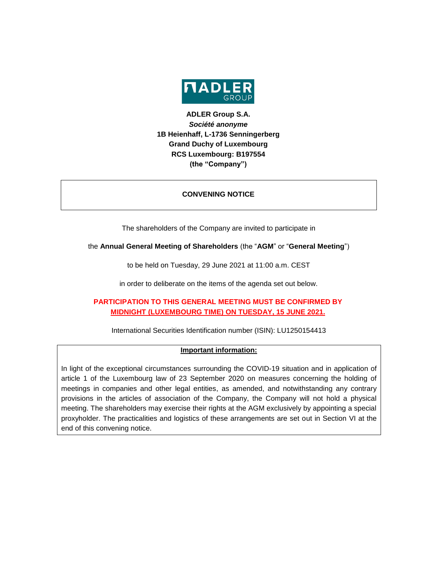

# **ADLER Group S.A.** *Société anonyme* **1B Heienhaff, L-1736 Senningerberg Grand Duchy of Luxembourg RCS Luxembourg: B197554 (the "Company")**

### **CONVENING NOTICE**

The shareholders of the Company are invited to participate in

the **Annual General Meeting of Shareholders** (the "**AGM**" or "**General Meeting**")

to be held on Tuesday, 29 June 2021 at 11:00 a.m. CEST

in order to deliberate on the items of the agenda set out below.

# **PARTICIPATION TO THIS GENERAL MEETING MUST BE CONFIRMED BY MIDNIGHT (LUXEMBOURG TIME) ON TUESDAY, 15 JUNE 2021.**

International Securities Identification number (ISIN): LU1250154413

### **Important information:**

In light of the exceptional circumstances surrounding the COVID-19 situation and in application of article 1 of the Luxembourg law of 23 September 2020 on measures concerning the holding of meetings in companies and other legal entities, as amended, and notwithstanding any contrary provisions in the articles of association of the Company, the Company will not hold a physical meeting. The shareholders may exercise their rights at the AGM exclusively by appointing a special proxyholder. The practicalities and logistics of these arrangements are set out in Section VI at the end of this convening notice.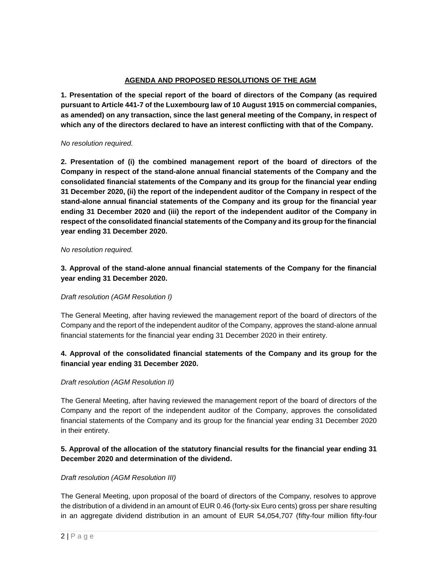### **AGENDA AND PROPOSED RESOLUTIONS OF THE AGM**

**1. Presentation of the special report of the board of directors of the Company (as required pursuant to Article 441-7 of the Luxembourg law of 10 August 1915 on commercial companies, as amended) on any transaction, since the last general meeting of the Company, in respect of which any of the directors declared to have an interest conflicting with that of the Company.**

#### *No resolution required.*

**2. Presentation of (i) the combined management report of the board of directors of the Company in respect of the stand-alone annual financial statements of the Company and the consolidated financial statements of the Company and its group for the financial year ending 31 December 2020, (ii) the report of the independent auditor of the Company in respect of the stand-alone annual financial statements of the Company and its group for the financial year ending 31 December 2020 and (iii) the report of the independent auditor of the Company in respect of the consolidated financial statements of the Company and its group for the financial year ending 31 December 2020.**

#### *No resolution required.*

**3. Approval of the stand-alone annual financial statements of the Company for the financial year ending 31 December 2020.** 

### *Draft resolution (AGM Resolution I)*

The General Meeting, after having reviewed the management report of the board of directors of the Company and the report of the independent auditor of the Company, approves the stand-alone annual financial statements for the financial year ending 31 December 2020 in their entirety.

# **4. Approval of the consolidated financial statements of the Company and its group for the financial year ending 31 December 2020.**

### *Draft resolution (AGM Resolution II)*

The General Meeting, after having reviewed the management report of the board of directors of the Company and the report of the independent auditor of the Company, approves the consolidated financial statements of the Company and its group for the financial year ending 31 December 2020 in their entirety.

# **5. Approval of the allocation of the statutory financial results for the financial year ending 31 December 2020 and determination of the dividend.**

### *Draft resolution (AGM Resolution III)*

The General Meeting, upon proposal of the board of directors of the Company, resolves to approve the distribution of a dividend in an amount of EUR 0.46 (forty-six Euro cents) gross per share resulting in an aggregate dividend distribution in an amount of EUR 54,054,707 (fifty-four million fifty-four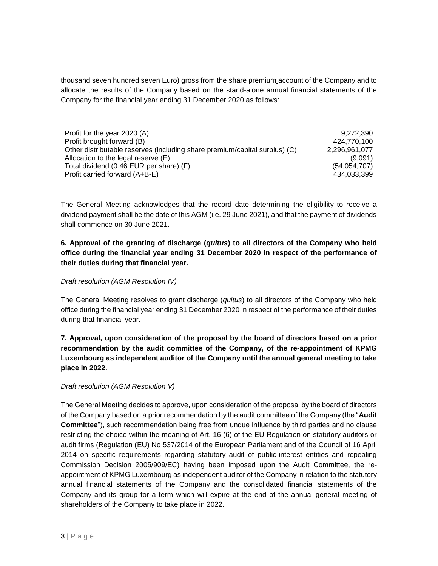thousand seven hundred seven Euro) gross from the share premium account of the Company and to allocate the results of the Company based on the stand-alone annual financial statements of the Company for the financial year ending 31 December 2020 as follows:

| Profit for the year 2020 (A)                                               | 9.272.390     |
|----------------------------------------------------------------------------|---------------|
| Profit brought forward (B)                                                 | 424.770.100   |
| Other distributable reserves (including share premium/capital surplus) (C) | 2,296,961,077 |
| Allocation to the legal reserve (E)                                        | (9,091)       |
| Total dividend (0.46 EUR per share) (F)                                    | (54,054,707)  |
| Profit carried forward (A+B-E)                                             | 434.033.399   |

The General Meeting acknowledges that the record date determining the eligibility to receive a dividend payment shall be the date of this AGM (i.e. 29 June 2021), and that the payment of dividends shall commence on 30 June 2021.

**6. Approval of the granting of discharge (***quitus***) to all directors of the Company who held office during the financial year ending 31 December 2020 in respect of the performance of their duties during that financial year.**

### *Draft resolution (AGM Resolution IV)*

The General Meeting resolves to grant discharge (*quitus*) to all directors of the Company who held office during the financial year ending 31 December 2020 in respect of the performance of their duties during that financial year.

**7. Approval, upon consideration of the proposal by the board of directors based on a prior recommendation by the audit committee of the Company, of the re-appointment of KPMG Luxembourg as independent auditor of the Company until the annual general meeting to take place in 2022.**

### *Draft resolution (AGM Resolution V)*

The General Meeting decides to approve, upon consideration of the proposal by the board of directors of the Company based on a prior recommendation by the audit committee of the Company (the "**Audit Committee**"), such recommendation being free from undue influence by third parties and no clause restricting the choice within the meaning of Art. 16 (6) of the EU Regulation on statutory auditors or audit firms (Regulation (EU) No 537/2014 of the European Parliament and of the Council of 16 April 2014 on specific requirements regarding statutory audit of public-interest entities and repealing Commission Decision 2005/909/EC) having been imposed upon the Audit Committee, the reappointment of KPMG Luxembourg as independent auditor of the Company in relation to the statutory annual financial statements of the Company and the consolidated financial statements of the Company and its group for a term which will expire at the end of the annual general meeting of shareholders of the Company to take place in 2022.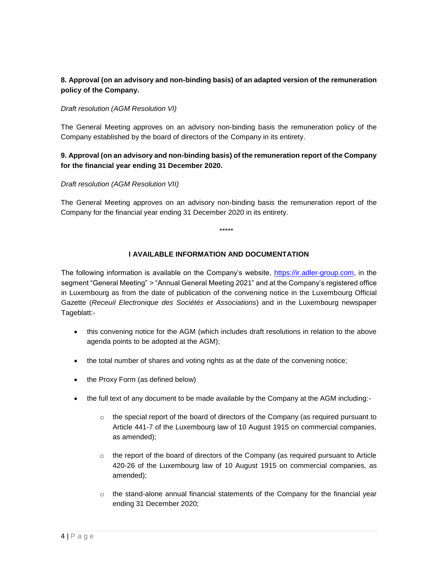# **8. Approval (on an advisory and non-binding basis) of an adapted version of the remuneration policy of the Company.**

### *Draft resolution (AGM Resolution VI)*

The General Meeting approves on an advisory non-binding basis the remuneration policy of the Company established by the board of directors of the Company in its entirety.

### **9. Approval (on an advisory and non-binding basis) of the remuneration report of the Company for the financial year ending 31 December 2020.**

### *Draft resolution (AGM Resolution VII)*

The General Meeting approves on an advisory non-binding basis the remuneration report of the Company for the financial year ending 31 December 2020 in its entirety.

\*\*\*\*\*

### **I AVAILABLE INFORMATION AND DOCUMENTATION**

The following information is available on the Company's website, [https://ir.adler-group.com,](https://ir.adler-group.com/) in the segment "General Meeting" *>* "Annual General Meeting 2021" and at the Company's registered office in Luxembourg as from the date of publication of the convening notice in the Luxembourg Official Gazette (*Receuil Electronique des Sociétés et Associations*) and in the Luxembourg newspaper Tageblatt:-

- this convening notice for the AGM (which includes draft resolutions in relation to the above agenda points to be adopted at the AGM);
- the total number of shares and voting rights as at the date of the convening notice;
- the Proxy Form (as defined below)
- the full text of any document to be made available by the Company at the AGM including:-
	- $\circ$  the special report of the board of directors of the Company (as required pursuant to Article 441-7 of the Luxembourg law of 10 August 1915 on commercial companies, as amended);
	- $\circ$  the report of the board of directors of the Company (as required pursuant to Article 420-26 of the Luxembourg law of 10 August 1915 on commercial companies, as amended);
	- $\circ$  the stand-alone annual financial statements of the Company for the financial year ending 31 December 2020;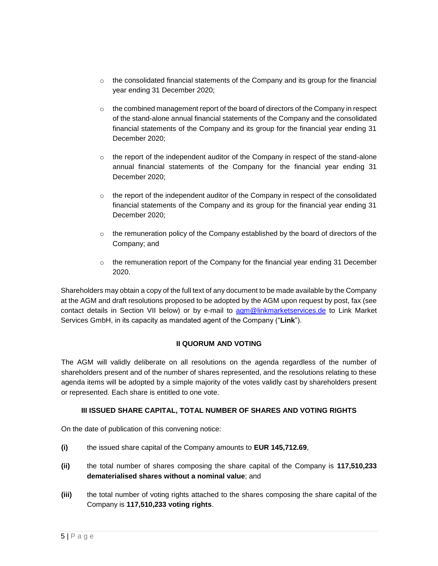- $\circ$  the consolidated financial statements of the Company and its group for the financial year ending 31 December 2020;
- $\circ$  the combined management report of the board of directors of the Company in respect of the stand-alone annual financial statements of the Company and the consolidated financial statements of the Company and its group for the financial year ending 31 December 2020;
- $\circ$  the report of the independent auditor of the Company in respect of the stand-alone annual financial statements of the Company for the financial year ending 31 December 2020;
- $\circ$  the report of the independent auditor of the Company in respect of the consolidated financial statements of the Company and its group for the financial year ending 31 December 2020;
- $\circ$  the remuneration policy of the Company established by the board of directors of the Company; and
- $\circ$  the remuneration report of the Company for the financial year ending 31 December 2020.

Shareholders may obtain a copy of the full text of any document to be made available by the Company at the AGM and draft resolutions proposed to be adopted by the AGM upon request by post, fax (see contact details in Section VII below) or by e-mail to [agm@linkmarketservices.de](mailto:agm@linkmarketservices.de) to Link Market Services GmbH, in its capacity as mandated agent of the Company ("**Link**").

# **II QUORUM AND VOTING**

The AGM will validly deliberate on all resolutions on the agenda regardless of the number of shareholders present and of the number of shares represented, and the resolutions relating to these agenda items will be adopted by a simple majority of the votes validly cast by shareholders present or represented. Each share is entitled to one vote.

### **III ISSUED SHARE CAPITAL, TOTAL NUMBER OF SHARES AND VOTING RIGHTS**

On the date of publication of this convening notice:

- **(i)** the issued share capital of the Company amounts to **EUR 145,712.69**,
- **(ii)** the total number of shares composing the share capital of the Company is **117,510,233 dematerialised shares without a nominal value**; and
- **(iii)** the total number of voting rights attached to the shares composing the share capital of the Company is **117,510,233 voting rights**.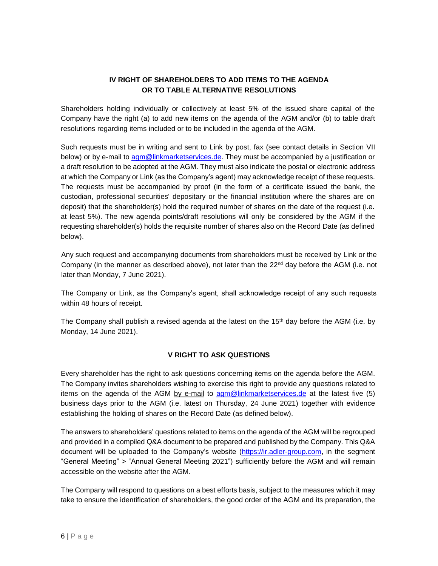# **IV RIGHT OF SHAREHOLDERS TO ADD ITEMS TO THE AGENDA OR TO TABLE ALTERNATIVE RESOLUTIONS**

Shareholders holding individually or collectively at least 5% of the issued share capital of the Company have the right (a) to add new items on the agenda of the AGM and/or (b) to table draft resolutions regarding items included or to be included in the agenda of the AGM.

Such requests must be in writing and sent to Link by post, fax (see contact details in Section VII below) or by e-mail to [agm@linkmarketservices.de.](mailto:agm@linkmarketservices.de) They must be accompanied by a justification or a draft resolution to be adopted at the AGM. They must also indicate the postal or electronic address at which the Company or Link (as the Company's agent) may acknowledge receipt of these requests. The requests must be accompanied by proof (in the form of a certificate issued the bank, the custodian, professional securities' depositary or the financial institution where the shares are on deposit) that the shareholder(s) hold the required number of shares on the date of the request (i.e. at least 5%). The new agenda points/draft resolutions will only be considered by the AGM if the requesting shareholder(s) holds the requisite number of shares also on the Record Date (as defined below).

Any such request and accompanying documents from shareholders must be received by Link or the Company (in the manner as described above), not later than the  $22<sup>nd</sup>$  day before the AGM (i.e. not later than Monday, 7 June 2021).

The Company or Link, as the Company's agent, shall acknowledge receipt of any such requests within 48 hours of receipt.

The Company shall publish a revised agenda at the latest on the 15<sup>th</sup> day before the AGM (i.e. by Monday, 14 June 2021).

# **V RIGHT TO ASK QUESTIONS**

Every shareholder has the right to ask questions concerning items on the agenda before the AGM. The Company invites shareholders wishing to exercise this right to provide any questions related to items on the agenda of the AGM by e-mail to [agm@linkmarketservices.de](mailto:agm@linkmarketservices.de) at the latest five (5) business days prior to the AGM (i.e. latest on Thursday, 24 June 2021) together with evidence establishing the holding of shares on the Record Date (as defined below).

The answers to shareholders' questions related to items on the agenda of the AGM will be regrouped and provided in a compiled Q&A document to be prepared and published by the Company. This Q&A document will be uploaded to the Company's website [\(https://ir.adler-group.com,](https://ir.adler-group.com/) in the segment "General Meeting" *>* "Annual General Meeting 2021") sufficiently before the AGM and will remain accessible on the website after the AGM.

The Company will respond to questions on a best efforts basis, subject to the measures which it may take to ensure the identification of shareholders, the good order of the AGM and its preparation, the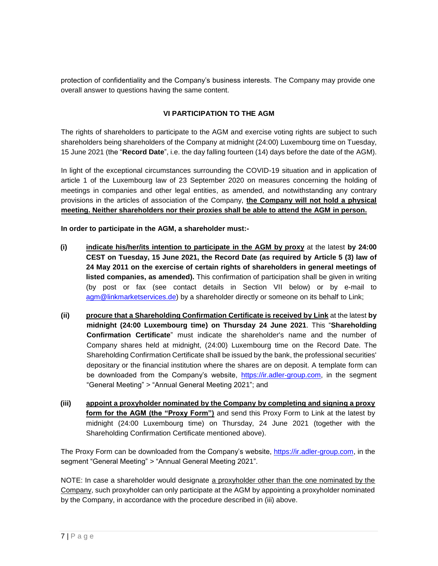protection of confidentiality and the Company's business interests. The Company may provide one overall answer to questions having the same content.

### **VI PARTICIPATION TO THE AGM**

The rights of shareholders to participate to the AGM and exercise voting rights are subject to such shareholders being shareholders of the Company at midnight (24:00) Luxembourg time on Tuesday, 15 June 2021 (the "**Record Date**", i.e. the day falling fourteen (14) days before the date of the AGM).

In light of the exceptional circumstances surrounding the COVID-19 situation and in application of article 1 of the Luxembourg law of 23 September 2020 on measures concerning the holding of meetings in companies and other legal entities, as amended, and notwithstanding any contrary provisions in the articles of association of the Company, **the Company will not hold a physical meeting. Neither shareholders nor their proxies shall be able to attend the AGM in person.**

**In order to participate in the AGM, a shareholder must:-**

- **(i) indicate his/her/its intention to participate in the AGM by proxy** at the latest **by 24:00 CEST on Tuesday, 15 June 2021, the Record Date (as required by Article 5 (3) law of 24 May 2011 on the exercise of certain rights of shareholders in general meetings of listed companies, as amended).** This confirmation of participation shall be given in writing (by post or fax (see contact details in Section VII below) or by e-mail to [agm@linkmarketservices.de\)](mailto:agm@linkmarketservices.de) by a shareholder directly or someone on its behalf to Link;
- **(ii) procure that a Shareholding Confirmation Certificate is received by Link** at the latest **by midnight (24:00 Luxembourg time) on Thursday 24 June 2021**. This "**Shareholding Confirmation Certificate**" must indicate the shareholder's name and the number of Company shares held at midnight, (24:00) Luxembourg time on the Record Date. The Shareholding Confirmation Certificate shall be issued by the bank, the professional securities' depositary or the financial institution where the shares are on deposit. A template form can be downloaded from the Company's website, [https://ir.adler-group.com,](https://ir.adler-group.com/) in the segment "General Meeting" *>* "Annual General Meeting 2021"; and
- **(iii) appoint a proxyholder nominated by the Company by completing and signing a proxy form for the AGM (the "Proxy Form")** and send this Proxy Form to Link at the latest by midnight (24:00 Luxembourg time) on Thursday, 24 June 2021 (together with the Shareholding Confirmation Certificate mentioned above).

The Proxy Form can be downloaded from the Company's website, [https://ir.adler-group.com,](https://ir.adler-group.com/) in the segment "General Meeting" *>* "Annual General Meeting 2021".

NOTE: In case a shareholder would designate a proxyholder other than the one nominated by the Company, such proxyholder can only participate at the AGM by appointing a proxyholder nominated by the Company, in accordance with the procedure described in (iii) above.